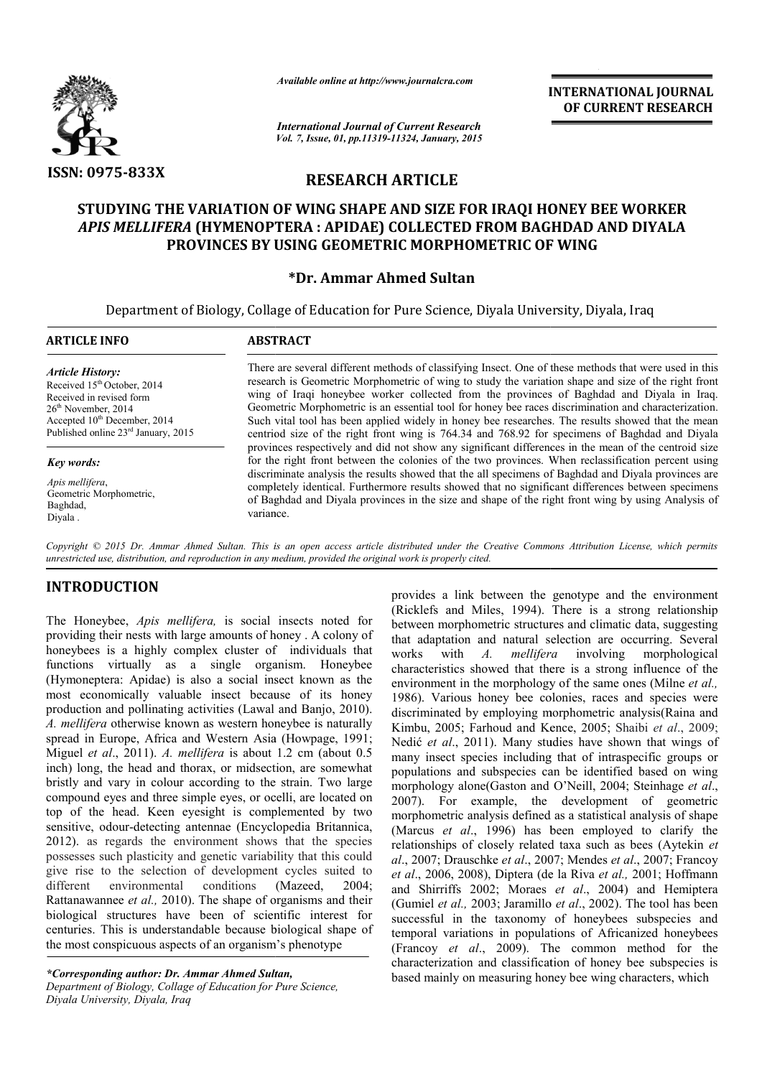

*Available online at http://www.journalcra.com*

*International Journal of Current Research Vol. 7, Issue, 01, pp.11319-11324, January, 2015*

**INTERNATIONAL INTERNATIONAL JOURNAL OF CURRENT RESEARCH** 

# **RESEARCH ARTICLE**

# **STUDYING THE VARIATION OF WING SHAPE AND SIZE FOR IRAQI HONEY BEE WORKER**  STUDYING THE VARIATION OF WING SHAPE AND SIZE FOR IRAQI HONEY BEE WORKER<br>*APIS MELLIFERA* (HYMENOPTERA : APIDAE) COLLECTED FROM BAGHDAD AND DIYALA **PROVINCES BY USING GEOMETRIC MORPHOMETRIC OF WING**

## **\*Dr. Ammar Ahmed Sultan**

Department of Biology, Collage of Education for Pure Science, Diyala University, Diyala, Iraq

| <b>ARTICLE INFO</b>                                                                                                                                                                                                    | <b>ABSTRACT</b>                                                                                                                                                                                                                                                                                                                                                                                                                                                                                                                                                                                                           |  |  |  |  |
|------------------------------------------------------------------------------------------------------------------------------------------------------------------------------------------------------------------------|---------------------------------------------------------------------------------------------------------------------------------------------------------------------------------------------------------------------------------------------------------------------------------------------------------------------------------------------------------------------------------------------------------------------------------------------------------------------------------------------------------------------------------------------------------------------------------------------------------------------------|--|--|--|--|
| <b>Article History:</b><br>Received 15 <sup>th</sup> October, 2014<br>Received in revised form<br>$26th$ November, 2014<br>Accepted 10 <sup>th</sup> December, 2014<br>Published online 23 <sup>rd</sup> January, 2015 | There are several different methods of classifying Insect. One of these methods that were used in this<br>research is Geometric Morphometric of wing to study the variation shape and size of the right front<br>wing of Iraqi honeybee worker collected from the provinces of Baghdad and Diyala in Iraq.<br>Geometric Morphometric is an essential tool for honey bee races discrimination and characterization.<br>Such vital tool has been applied widely in honey bee researches. The results showed that the mean<br>centriod size of the right front wing is 764.34 and 768.92 for specimens of Baghdad and Diyala |  |  |  |  |
| <b>Key words:</b><br>Apis mellifera,<br>Geometric Morphometric,<br>Baghdad,<br>Diyala.                                                                                                                                 | provinces respectively and did not show any significant differences in the mean of the centroid size<br>for the right front between the colonies of the two provinces. When reclassification percent using<br>discriminate analysis the results showed that the all specimens of Baghdad and Diyala provinces are<br>completely identical. Furthermore results showed that no significant differences between specimens<br>of Baghdad and Diyala provinces in the size and shape of the right front wing by using Analysis of<br>variance.                                                                                |  |  |  |  |

Copyright © 2015 Dr. Ammar Ahmed Sultan. This is an open access article distributed under the Creative Commons Attribution License, which permits *unrestricted use, distribution, and reproduction in any medium, provided the original work is properly cited.*

# **INTRODUCTION**

The Honeybee, *Apis mellifera,* is social insects noted for providing their nests with large amounts of honey . A colony of honeybees is a highly complex cluster of individuals that functions virtually as a single organism. Honeybee (Hymoneptera: Apidae) is also a social insect known as the most economically valuable insect because of its honey production and pollinating activities (Lawal and Banjo, 2010). *A. mellifera* otherwise known as western honeybee is naturally spread in Europe, Africa and Western Asia (Howpage, 1991; Miguel *et al*., 2011). *A. mellifera* is about 1.2 cm (about 0.5 inch) long, the head and thorax, or midsection, are somewhat bristly and vary in colour according to the strain. Two large compound eyes and three simple eyes, or ocelli, are located on top of the head. Keen eyesight is complemented by two sensitive, odour-detecting antennae (Encyclopedia Britannica, 2012). as regards the environment shows that the species possesses such plasticity and genetic variability that t give rise to the selection of development cycles suited to different environmental conditions Rattanawannee *et al.,* 2010). The shape of organisms and their biological structures have been of scientific interest for centuries. This is understandable because biological shape of the most conspicuous aspects of an organism's phenotype eptera: Apidae) is also a social insect known as the conomically valuable insect because of its honey on and pollinating activities (Lawal and Banjo, 2010). *fera* otherwise known as western honeybee is naturally n Europe, (Mazeed, 2004;

*\*Corresponding author: Dr. Ammar Ahmed Sult Sultan, Department of Biology, Collage of Education for Pure Science, Diyala University, Diyala, Iraq*

provides a link between the genotype and the environment (Ricklefs and Miles, 1994). There is a strong relationship between morphometric structures and climatic data, suggesting that adaptation and natural selection are occurring. Several works with *A. mellifera* characteristics showed that there is a strong influence of the characteristics showed that there is a strong influence of the environment in the morphology of the same ones *(Milne <i>et al.,* 1986). Various honey bee colonies, races and species were discriminated by employing morphometric analysis(Raina and Kimbu, 2005; Farhoud and Kence, 2005; Shaibi et al., 2009; Nedić *et al*., 2011). Many studies have shown that wings of many insect species including that of intraspecific groups or populations and subspecies can be identified based on wing morphology alone(Gaston and O'Neill, 2004; Steinhage *et al*., 2007). For example, the development of geometric 2007). For example, the development of geometric morphometric analysis defined as a statistical analysis of shape (Marcus *et al*., 1996) has been employed to clarify the (Marcus *et al.*, 1996) has been employed to clarify the relationships of closely related taxa such as bees (Aytekin *et al*., 2007; Drauschke *et al*., 2007; Mendes ., *et al*., 2007; Francoy *et al*., 2006, 2008), Diptera (de la Riva *et al.,* 2001; Hoffmann and Shirriffs 2002; Moraes et al., 2004) and Hemiptera (Gumiel *et al.,* 2003; Jaramillo *et al*., 2002). The tool has been successful in the taxonomy of honeybees subspecies and temporal variations in populations of Africanized honeybees (Francoy *et al*., 2009). The common method for the characterization and classification of honey bee subspecies is based mainly on measuring honey bee wing characters, which a link between the genotype and the environment<br>and Miles, 1994). There is a strong relationship<br>morphometric structures and climatic data, suggesting involving morphological is honey bee colonies, races and species were<br>by employing morphometric analysis(Raina and<br>Farhoud and Kence, 2005; Shaibi *et al.*, 2009; 1). Many studies have shown that wings of<br>cies including that of intraspecific groups or<br>subspecies can be identified based on wing **INTERNATIONAL [DOIRNAL m**<br> **INTERNATIONAL COF CURRENT RESEARCH**<br> **OF CURRENT RESEARCH**<br> **ICLE**<br> **SIZE FOR IRAQI HONEY BEE WORKER**<br> **SIZE FOR IRAQI HONEY BEE WORKER**<br> **CIRENT PROM BAGHDAD AND DIYALA**<br> **CORPHOMETRIC OF WIN**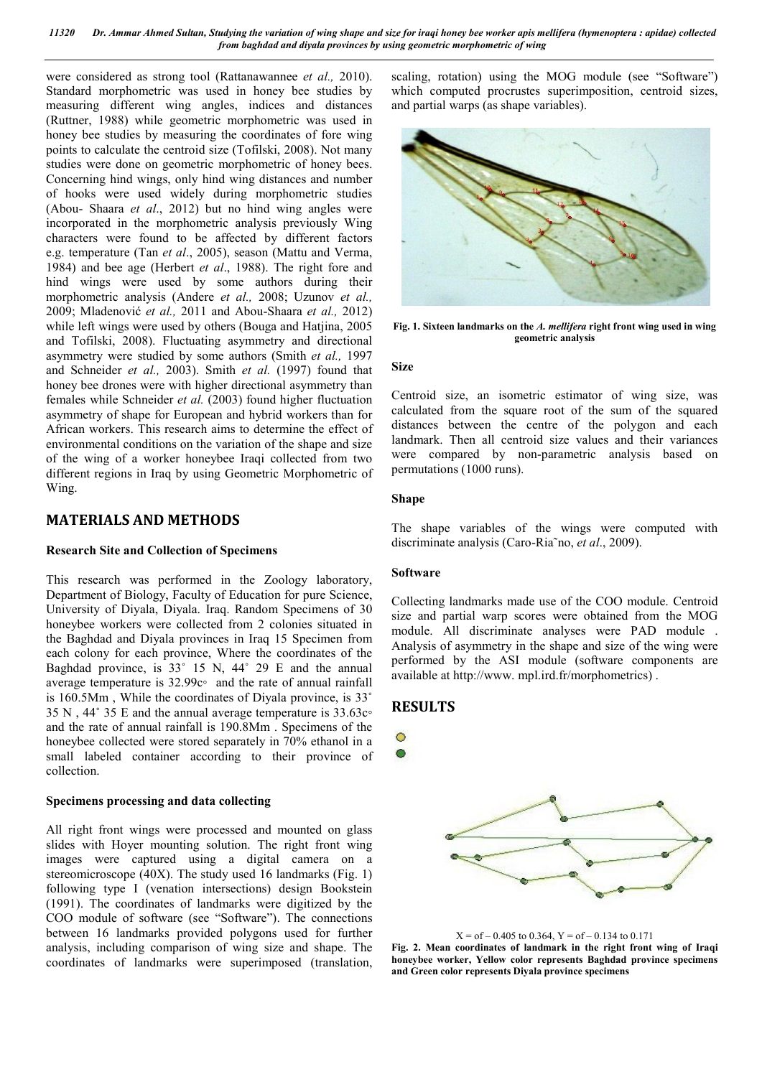were considered as strong tool (Rattanawannee *et al.,* 2010). Standard morphometric was used in honey bee studies by measuring different wing angles, indices and distances (Ruttner, 1988) while geometric morphometric was used in honey bee studies by measuring the coordinates of fore wing points to calculate the centroid size (Tofilski, 2008). Not many studies were done on geometric morphometric of honey bees. Concerning hind wings, only hind wing distances and number of hooks were used widely during morphometric studies (Abou- Shaara *et al*., 2012) but no hind wing angles were incorporated in the morphometric analysis previously Wing characters were found to be affected by different factors e.g. temperature (Tan *et al*., 2005), season (Mattu and Verma, 1984) and bee age (Herbert *et al*., 1988). The right fore and hind wings were used by some authors during their morphometric analysis (Andere *et al.,* 2008; Uzunov *et al.,*  2009; Mladenović *et al.,* 2011 and Abou-Shaara *et al.,* 2012) while left wings were used by others (Bouga and Hatjina, 2005 and Tofilski, 2008). Fluctuating asymmetry and directional asymmetry were studied by some authors (Smith *et al.,* 1997 and Schneider *et al.,* 2003). Smith *et al.* (1997) found that honey bee drones were with higher directional asymmetry than females while Schneider *et al.* (2003) found higher fluctuation asymmetry of shape for European and hybrid workers than for African workers. This research aims to determine the effect of environmental conditions on the variation of the shape and size of the wing of a worker honeybee Iraqi collected from two different regions in Iraq by using Geometric Morphometric of Wing.

## **MATERIALS AND METHODS**

## **Research Site and Collection of Specimens**

This research was performed in the Zoology laboratory, Department of Biology, Faculty of Education for pure Science, University of Diyala, Diyala. Iraq. Random Specimens of 30 honeybee workers were collected from 2 colonies situated in the Baghdad and Diyala provinces in Iraq 15 Specimen from each colony for each province, Where the coordinates of the Baghdad province, is 33˚ 15 N, 44˚ 29 E and the annual average temperature is 32.99c◦ and the rate of annual rainfall is 160.5Mm , While the coordinates of Diyala province, is 33˚ 35 N , 44˚ 35 E and the annual average temperature is 33.63c◦ and the rate of annual rainfall is 190.8Mm . Specimens of the honeybee collected were stored separately in 70% ethanol in a small labeled container according to their province of collection.

## **Specimens processing and data collecting**

All right front wings were processed and mounted on glass slides with Hoyer mounting solution. The right front wing images were captured using a digital camera on a stereomicroscope (40X). The study used 16 landmarks (Fig. 1) following type I (venation intersections) design Bookstein (1991). The coordinates of landmarks were digitized by the COO module of software (see "Software"). The connections between 16 landmarks provided polygons used for further analysis, including comparison of wing size and shape. The coordinates of landmarks were superimposed (translation,

scaling, rotation) using the MOG module (see "Software") which computed procrustes superimposition, centroid sizes, and partial warps (as shape variables).



**Fig. 1. Sixteen landmarks on the** *A. mellifera* **right front wing used in wing geometric analysis**

#### **Size**

Centroid size, an isometric estimator of wing size, was calculated from the square root of the sum of the squared distances between the centre of the polygon and each landmark. Then all centroid size values and their variances were compared by non-parametric analysis based on permutations (1000 runs).

### **Shape**

The shape variables of the wings were computed with discriminate analysis (Caro-Ria˜no, *et al*., 2009).

#### **Software**

Collecting landmarks made use of the COO module. Centroid size and partial warp scores were obtained from the MOG module. All discriminate analyses were PAD module . Analysis of asymmetry in the shape and size of the wing were performed by the ASI module (software components are available at http://www. mpl.ird.fr/morphometrics) .

## **RESULTS**



 $X = of -0.405$  to 0.364,  $Y = of -0.134$  to 0.171

**Fig. 2. Mean coordinates of landmark in the right front wing of Iraqi honeybee worker, Yellow color represents Baghdad province specimens and Green color represents Diyala province specimens**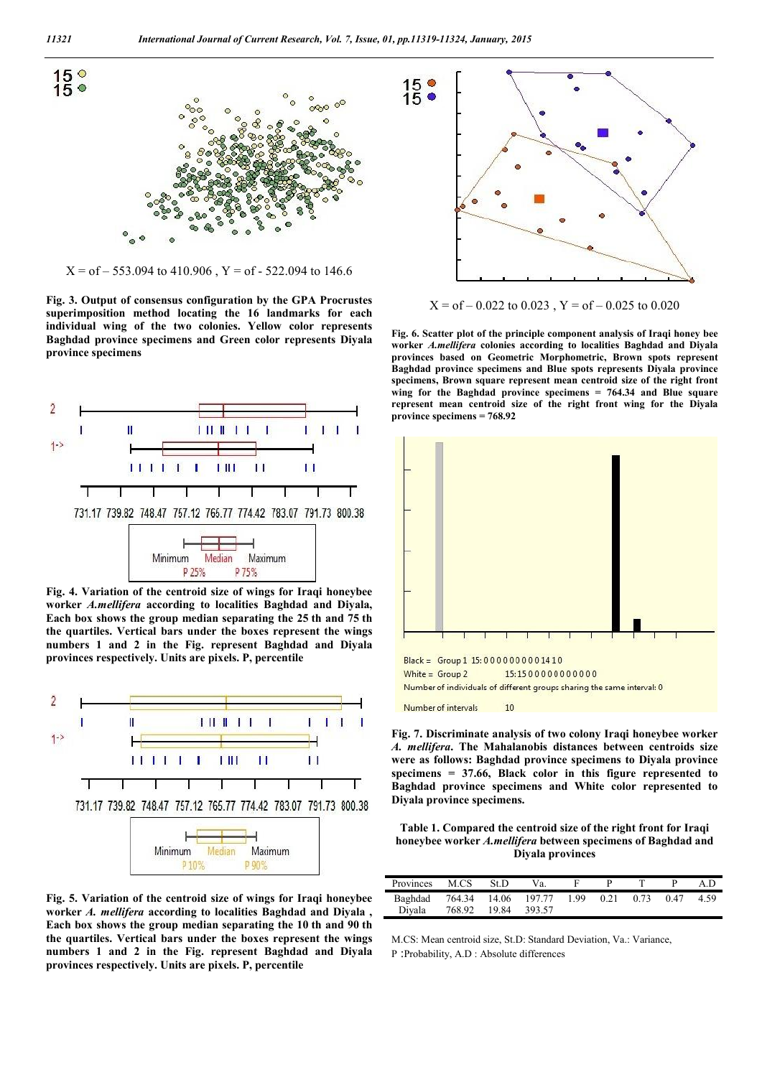

 $X = of -553.094$  to 410.906,  $Y = of -522.094$  to 146.6

**Fig. 3. Output of consensus configuration by the GPA Procrustes superimposition method locating the 16 landmarks for each individual wing of the two colonies. Yellow color represents Baghdad province specimens and Green color represents Diyala province specimens**



**Fig. 4. Variation of the centroid size of wings for Iraqi honeybee worker** *A.mellifera* **according to localities Baghdad and Diyala, Each box shows the group median separating the 25 th and 75 th the quartiles. Vertical bars under the boxes represent the wings numbers 1 and 2 in the Fig. represent Baghdad and Diyala provinces respectively. Units are pixels. P, percentile**



**Fig. 5. Variation of the centroid size of wings for Iraqi honeybee worker** *A. mellifera* **according to localities Baghdad and Diyala , Each box shows the group median separating the 10 th and 90 th the quartiles. Vertical bars under the boxes represent the wings numbers 1 and 2 in the Fig. represent Baghdad and Diyala provinces respectively. Units are pixels. P, percentile**



 $X = of -0.022$  to 0.023,  $Y = of -0.025$  to 0.020

**Fig. 6. Scatter plot of the principle component analysis of Iraqi honey bee worker** *A.mellifera* **colonies according to localities Baghdad and Diyala provinces based on Geometric Morphometric, Brown spots represent Baghdad province specimens and Blue spots represents Diyala province specimens, Brown square represent mean centroid size of the right front wing for the Baghdad province specimens = 764.34 and Blue square represent mean centroid size of the right front wing for the Diyala province specimens = 768.92**



**Fig. 7. Discriminate analysis of two colony Iraqi honeybee worker** 

*A. mellifera***. The Mahalanobis distances between centroids size were as follows: Baghdad province specimens to Diyala province specimens = 37.66, Black color in this figure represented to Baghdad province specimens and White color represented to Diyala province specimens.** 

**Table 1. Compared the centroid size of the right front for Iraqi honeybee worker** *A.mellifera* **between specimens of Baghdad and Diyala provinces**

| Provinces | M.CS   | St.D  | Va.                 |     |      |      |      | A D  |
|-----------|--------|-------|---------------------|-----|------|------|------|------|
| Baghdad   |        |       | 764.34 14.06 197.77 | 199 | 0.21 | 0.73 | 0.47 | 4.59 |
| Divala    | 768.92 | 19.84 | 393.57              |     |      |      |      |      |

M.CS: Mean centroid size, St.D: Standard Deviation, Va.: Variance, P :Probability, A.D : Absolute differences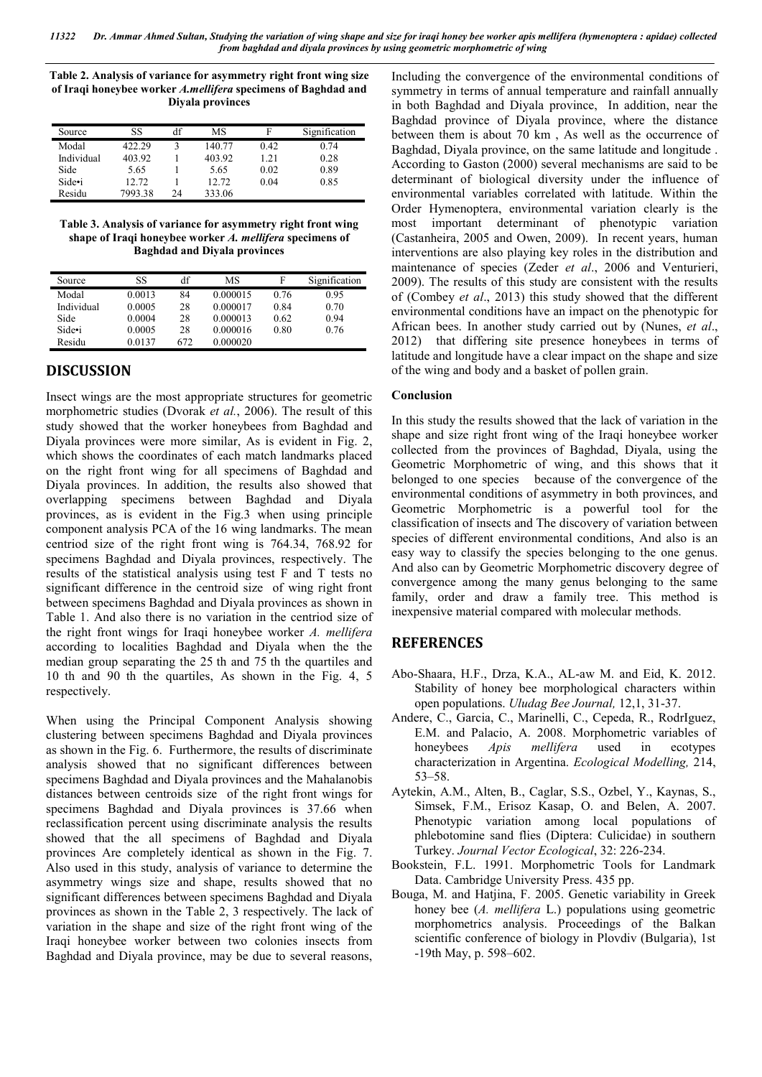*11322 Dr. Ammar Ahmed Sultan, Studying the variation of wing shape and size for iraqi honey bee worker apis mellifera (hymenoptera : apidae) collected from baghdad and diyala provinces by using geometric morphometric of wing*

**Table 2. Analysis of variance for asymmetry right front wing size of Iraqi honeybee worker** *A.mellifera* **specimens of Baghdad and Diyala provinces**

| Source     | SS      | df | MS     | F    | Signification |
|------------|---------|----|--------|------|---------------|
| Modal      | 422.29  |    | 140.77 | 0.42 | 0.74          |
| Individual | 403.92  |    | 403.92 | 1.21 | 0.28          |
| Side       | 5.65    |    | 5.65   | 0.02 | 0.89          |
| Side•i     | 12.72   |    | 12.72  | 0.04 | 0.85          |
| Residu     | 7993.38 | 24 | 333.06 |      |               |

**Table 3. Analysis of variance for asymmetry right front wing shape of Iraqi honeybee worker** *A. mellifera* **specimens of Baghdad and Diyala provinces**

| Source     | SS     | df  | МS       | F    | Signification |
|------------|--------|-----|----------|------|---------------|
| Modal      | 0.0013 | 84  | 0.000015 | 0.76 | 0.95          |
| Individual | 0.0005 | 28  | 0.000017 | 0.84 | 0.70          |
| Side       | 0.0004 | 28  | 0.000013 | 0.62 | 0.94          |
| Side•i     | 0.0005 | 28  | 0.000016 | 0.80 | 0.76          |
| Residu     | 0.0137 | 672 | 0.000020 |      |               |

# **DISCUSSION**

Insect wings are the most appropriate structures for geometric morphometric studies (Dvorak *et al.*, 2006). The result of this study showed that the worker honeybees from Baghdad and Diyala provinces were more similar, As is evident in Fig. 2, which shows the coordinates of each match landmarks placed on the right front wing for all specimens of Baghdad and Diyala provinces. In addition, the results also showed that overlapping specimens between Baghdad and Diyala provinces, as is evident in the Fig.3 when using principle component analysis PCA of the 16 wing landmarks. The mean centriod size of the right front wing is 764.34, 768.92 for specimens Baghdad and Diyala provinces, respectively. The results of the statistical analysis using test F and T tests no significant difference in the centroid size of wing right front between specimens Baghdad and Diyala provinces as shown in Table 1. And also there is no variation in the centriod size of the right front wings for Iraqi honeybee worker *A. mellifera* according to localities Baghdad and Diyala when the the median group separating the 25 th and 75 th the quartiles and 10 th and 90 th the quartiles, As shown in the Fig. 4, 5 respectively.

When using the Principal Component Analysis showing clustering between specimens Baghdad and Diyala provinces as shown in the Fig. 6. Furthermore, the results of discriminate analysis showed that no significant differences between specimens Baghdad and Diyala provinces and the Mahalanobis distances between centroids size of the right front wings for specimens Baghdad and Diyala provinces is 37.66 when reclassification percent using discriminate analysis the results showed that the all specimens of Baghdad and Diyala provinces Are completely identical as shown in the Fig. 7. Also used in this study, analysis of variance to determine the asymmetry wings size and shape, results showed that no significant differences between specimens Baghdad and Diyala provinces as shown in the Table 2, 3 respectively. The lack of variation in the shape and size of the right front wing of the Iraqi honeybee worker between two colonies insects from Baghdad and Diyala province, may be due to several reasons,

Including the convergence of the environmental conditions of symmetry in terms of annual temperature and rainfall annually in both Baghdad and Diyala province, In addition, near the Baghdad province of Diyala province, where the distance between them is about 70 km , As well as the occurrence of Baghdad, Diyala province, on the same latitude and longitude . According to Gaston (2000) several mechanisms are said to be determinant of biological diversity under the influence of environmental variables correlated with latitude. Within the Order Hymenoptera, environmental variation clearly is the most important determinant of phenotypic variation (Castanheira, 2005 and Owen, 2009). In recent years, human interventions are also playing key roles in the distribution and maintenance of species (Zeder *et al*., 2006 and Venturieri, 2009). The results of this study are consistent with the results of (Combey *et al*., 2013) this study showed that the different environmental conditions have an impact on the phenotypic for African bees. In another study carried out by (Nunes, *et al*., 2012) that differing site presence honeybees in terms of latitude and longitude have a clear impact on the shape and size of the wing and body and a basket of pollen grain.

### **Conclusion**

In this study the results showed that the lack of variation in the shape and size right front wing of the Iraqi honeybee worker collected from the provinces of Baghdad, Diyala, using the Geometric Morphometric of wing, and this shows that it belonged to one species because of the convergence of the environmental conditions of asymmetry in both provinces, and Geometric Morphometric is a powerful tool for the classification of insects and The discovery of variation between species of different environmental conditions, And also is an easy way to classify the species belonging to the one genus. And also can by Geometric Morphometric discovery degree of convergence among the many genus belonging to the same family, order and draw a family tree. This method is inexpensive material compared with molecular methods.

## **REFERENCES**

- Abo-Shaara, H.F., Drza, K.A., AL-aw M. and Eid, K. 2012. Stability of honey bee morphological characters within open populations. *Uludag Bee Journal,* 12,1, 31-37.
- Andere, C., Garcia, C., Marinelli, C., Cepeda, R., RodrIguez, E.M. and Palacio, A. 2008. Morphometric variables of honeybees *Apis mellifera* used in ecotypes characterization in Argentina. *Ecological Modelling,* 214, 53–58.
- Aytekin, A.M., Alten, B., Caglar, S.S., Ozbel, Y., Kaynas, S., Simsek, F.M., Erisoz Kasap, O. and Belen, A. 2007. Phenotypic variation among local populations of phlebotomine sand flies (Diptera: Culicidae) in southern Turkey. *Journal Vector Ecological*, 32: 226-234.
- Bookstein, F.L. 1991. Morphometric Tools for Landmark Data. Cambridge University Press. 435 pp.
- Bouga, M. and Hatjina, F. 2005. Genetic variability in Greek honey bee (*A. mellifera* L.) populations using geometric morphometrics analysis. Proceedings of the Balkan scientific conference of biology in Plovdiv (Bulgaria), 1st -19th May, p. 598–602.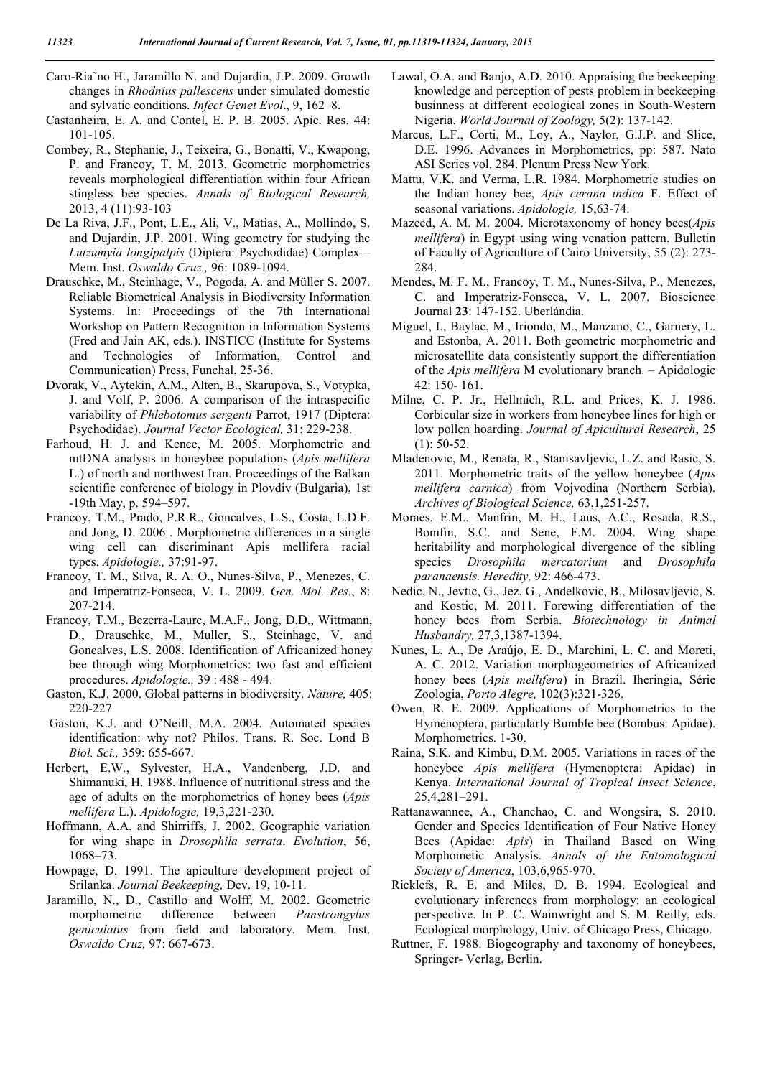- Caro-Ria˜no H., Jaramillo N. and Dujardin, J.P. 2009. Growth changes in *Rhodnius pallescens* under simulated domestic and sylvatic conditions. *Infect Genet Evol*., 9, 162–8.
- Castanheira, E. A. and Contel, E. P. B. 2005. Apic. Res. 44: 101-105.
- Combey, R., Stephanie, J., Teixeira, G., Bonatti, V., Kwapong, P. and Francoy, T. M. 2013. Geometric morphometrics reveals morphological differentiation within four African stingless bee species. *Annals of Biological Research,* 2013, 4 (11):93-103
- De La Riva, J.F., Pont, L.E., Ali, V., Matias, A., Mollindo, S. and Dujardin, J.P. 2001. Wing geometry for studying the *Lutzumyia longipalpis* (Diptera: Psychodidae) Complex – Mem. Inst. *Oswaldo Cruz.,* 96: 1089-1094.
- Drauschke, M., Steinhage, V., Pogoda, A. and Müller S. 2007. Reliable Biometrical Analysis in Biodiversity Information Systems. In: Proceedings of the 7th International Workshop on Pattern Recognition in Information Systems (Fred and Jain AK, eds.). INSTICC (Institute for Systems and Technologies of Information, Control and Communication) Press, Funchal, 25-36.
- Dvorak, V., Aytekin, A.M., Alten, B., Skarupova, S., Votypka, J. and Volf, P. 2006. A comparison of the intraspecific variability of *Phlebotomus sergenti* Parrot, 1917 (Diptera: Psychodidae). *Journal Vector Ecological,* 31: 229-238.
- Farhoud, H. J. and Kence, M. 2005. Morphometric and mtDNA analysis in honeybee populations (*Apis mellifera*  L.) of north and northwest Iran. Proceedings of the Balkan scientific conference of biology in Plovdiv (Bulgaria), 1st -19th May, p. 594–597.
- Francoy, T.M., Prado, P.R.R., Goncalves, L.S., Costa, L.D.F. and Jong, D. 2006 . Morphometric differences in a single wing cell can discriminant Apis mellifera racial types. *Apidologie.,* 37:91-97.
- Francoy, T. M., Silva, R. A. O., Nunes-Silva, P., Menezes, C. and Imperatriz-Fonseca, V. L. 2009. *Gen. Mol. Res.*, 8: 207-214.
- Francoy, T.M., Bezerra-Laure, M.A.F., Jong, D.D., Wittmann, D., Drauschke, M., Muller, S., Steinhage, V. and Goncalves, L.S. 2008. Identification of Africanized honey bee through wing Morphometrics: two fast and efficient procedures. *Apidologie.,* 39 : 488 - 494.
- Gaston, K.J. 2000. Global patterns in biodiversity. *Nature,* 405: 220-227
- Gaston, K.J. and O'Neill, M.A. 2004. Automated species identification: why not? Philos. Trans. R. Soc. Lond B *Biol. Sci.,* 359: 655-667.
- Herbert, E.W., Sylvester, H.A., Vandenberg, J.D. and Shimanuki, H. 1988. Influence of nutritional stress and the age of adults on the morphometrics of honey bees (*Apis mellifera* L.). *Apidologie,* 19,3,221-230.
- Hoffmann, A.A. and Shirriffs, J. 2002. Geographic variation for wing shape in *Drosophila serrata*. *Evolution*, 56, 1068–73.
- Howpage, D. 1991. The apiculture development project of Srilanka. *Journal Beekeeping,* Dev. 19, 10-11.
- Jaramillo, N., D., Castillo and Wolff, M. 2002. Geometric morphometric difference between *Panstrongylus geniculatus* from field and laboratory. Mem. Inst. *Oswaldo Cruz,* 97: 667-673.
- Lawal, O.A. and Banjo, A.D. 2010. Appraising the beekeeping knowledge and perception of pests problem in beekeeping businness at different ecological zones in South-Western Nigeria. *World Journal of Zoology,* 5(2): 137-142.
- Marcus, L.F., Corti, M., Loy, A., Naylor, G.J.P. and Slice, D.E. 1996. Advances in Morphometrics, pp: 587. Nato ASI Series vol. 284. Plenum Press New York.
- Mattu, V.K. and Verma, L.R. 1984. Morphometric studies on the Indian honey bee, *Apis cerana indica* F. Effect of seasonal variations. *Apidologie,* 15,63-74.
- Mazeed, A. M. M. 2004. Microtaxonomy of honey bees(*Apis mellifera*) in Egypt using wing venation pattern. Bulletin of Faculty of Agriculture of Cairo University, 55 (2): 273- 284.
- Mendes, M. F. M., Francoy, T. M., Nunes-Silva, P., Menezes, C. and Imperatriz-Fonseca, V. L. 2007. Bioscience Journal **23**: 147-152. Uberlándia.
- Miguel, I., Baylac, M., Iriondo, M., Manzano, C., Garnery, L. and Estonba, A. 2011. Both geometric morphometric and microsatellite data consistently support the differentiation of the *Apis mellifera* M evolutionary branch. – Apidologie 42: 150- 161.
- Milne, C. P. Jr., Hellmich, R.L. and Prices, K. J. 1986. Corbicular size in workers from honeybee lines for high or low pollen hoarding. *Journal of Apicultural Research*, 25 (1): 50-52.
- Mladenovic, M., Renata, R., Stanisavljevic, L.Z. and Rasic, S. 2011. Morphometric traits of the yellow honeybee (*Apis mellifera carnica*) from Vojvodina (Northern Serbia). *Archives of Biological Science,* 63,1,251-257.
- Moraes, E.M., Manfrin, M. H., Laus, A.C., Rosada, R.S., Bomfin, S.C. and Sene, F.M. 2004. Wing shape heritability and morphological divergence of the sibling species *Drosophila mercatorium* and *Drosophila paranaensis. Heredity,* 92: 466-473.
- Nedic, N., Jevtic, G., Jez, G., Andelkovic, B., Milosavljevic, S. and Kostic, M. 2011. Forewing differentiation of the honey bees from Serbia. *Biotechnology in Animal Husbandry,* 27,3,1387-1394.
- Nunes, L. A., De Araújo, E. D., Marchini, L. C. and Moreti, A. C. 2012. Variation morphogeometrics of Africanized honey bees (*Apis mellifera*) in Brazil. Iheringia, Série Zoologia, *Porto Alegre,* 102(3):321-326.
- Owen, R. E. 2009. Applications of Morphometrics to the Hymenoptera, particularly Bumble bee (Bombus: Apidae). Morphometrics. 1-30.
- Raina, S.K. and Kimbu, D.M. 2005. Variations in races of the honeybee *Apis mellifera* (Hymenoptera: Apidae) in Kenya. *International Journal of Tropical Insect Science*, 25,4,281–291.
- Rattanawannee, A., Chanchao, C. and Wongsira, S. 2010. Gender and Species Identification of Four Native Honey Bees (Apidae: *Apis*) in Thailand Based on Wing Morphometic Analysis. *Annals of the Entomological Society of America*, 103,6,965-970.
- Ricklefs, R. E. and Miles, D. B. 1994. Ecological and evolutionary inferences from morphology: an ecological perspective. In P. C. Wainwright and S. M. Reilly, eds. Ecological morphology, Univ. of Chicago Press, Chicago.
- Ruttner, F. 1988. Biogeography and taxonomy of honeybees, Springer- Verlag, Berlin.